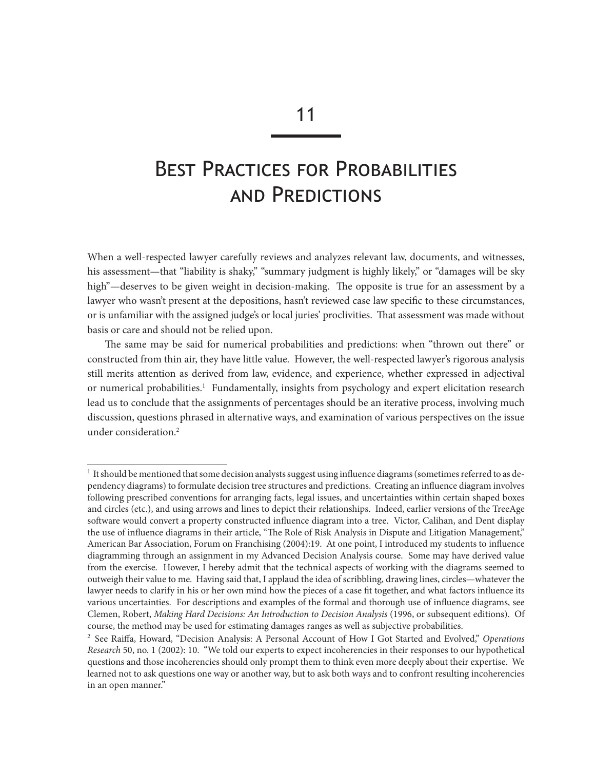# Best Practices for Probabilities and Predictions

When a well-respected lawyer carefully reviews and analyzes relevant law, documents, and witnesses, his assessment—that "liability is shaky," "summary judgment is highly likely," or "damages will be sky high"—deserves to be given weight in decision-making. The opposite is true for an assessment by a lawyer who wasn't present at the depositions, hasn't reviewed case law specific to these circumstances, or is unfamiliar with the assigned judge's or local juries' proclivities. That assessment was made without basis or care and should not be relied upon.

The same may be said for numerical probabilities and predictions: when "thrown out there" or constructed from thin air, they have little value. However, the well-respected lawyer's rigorous analysis still merits attention as derived from law, evidence, and experience, whether expressed in adjectival or numerical probabilities.<sup>1</sup> Fundamentally, insights from psychology and expert elicitation research lead us to conclude that the assignments of percentages should be an iterative process, involving much discussion, questions phrased in alternative ways, and examination of various perspectives on the issue under consideration.2

<sup>&</sup>lt;sup>1</sup> It should be mentioned that some decision analysts suggest using influence diagrams (sometimes referred to as dependency diagrams) to formulate decision tree structures and predictions. Creating an influence diagram involves following prescribed conventions for arranging facts, legal issues, and uncertainties within certain shaped boxes and circles (etc.), and using arrows and lines to depict their relationships. Indeed, earlier versions of the TreeAge software would convert a property constructed influence diagram into a tree. Victor, Calihan, and Dent display the use of influence diagrams in their article, "The Role of Risk Analysis in Dispute and Litigation Management," American Bar Association, Forum on Franchising (2004):19. At one point, I introduced my students to influence diagramming through an assignment in my Advanced Decision Analysis course. Some may have derived value from the exercise. However, I hereby admit that the technical aspects of working with the diagrams seemed to outweigh their value to me. Having said that, I applaud the idea of scribbling, drawing lines, circles—whatever the lawyer needs to clarify in his or her own mind how the pieces of a case fit together, and what factors influence its various uncertainties. For descriptions and examples of the formal and thorough use of influence diagrams, see Clemen, Robert, *Making Hard Decisions: An Introduction to Decision Analysis* (1996, or subsequent editions). Of course, the method may be used for estimating damages ranges as well as subjective probabilities.

<sup>2</sup> See Raiffa, Howard, "Decision Analysis: A Personal Account of How I Got Started and Evolved," *Operations Research* 50, no. 1 (2002): 10. "We told our experts to expect incoherencies in their responses to our hypothetical questions and those incoherencies should only prompt them to think even more deeply about their expertise. We learned not to ask questions one way or another way, but to ask both ways and to confront resulting incoherencies in an open manner."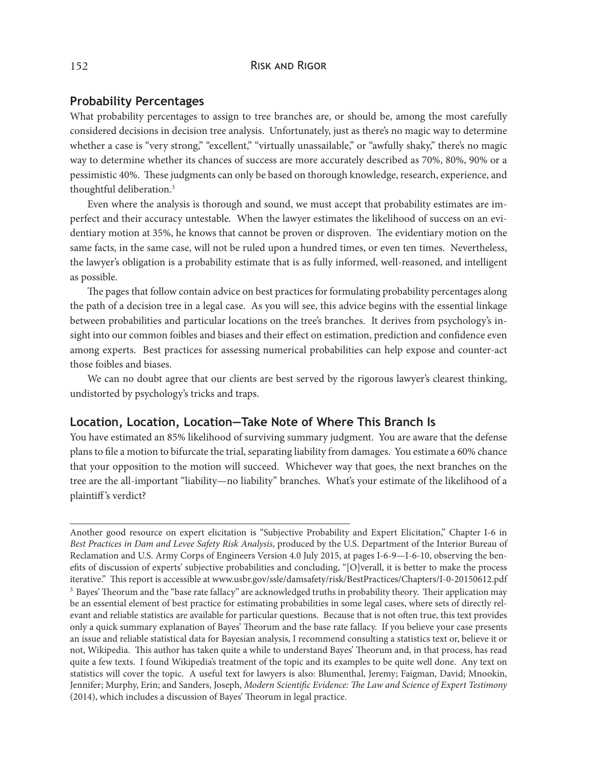## 152 RISK AND RIGOR

#### **Probability Percentages**

What probability percentages to assign to tree branches are, or should be, among the most carefully considered decisions in decision tree analysis. Unfortunately, just as there's no magic way to determine whether a case is "very strong," "excellent," "virtually unassailable," or "awfully shaky," there's no magic way to determine whether its chances of success are more accurately described as 70%, 80%, 90% or a pessimistic 40%. These judgments can only be based on thorough knowledge, research, experience, and thoughtful deliberation.3

Even where the analysis is thorough and sound, we must accept that probability estimates are imperfect and their accuracy untestable. When the lawyer estimates the likelihood of success on an evidentiary motion at 35%, he knows that cannot be proven or disproven. The evidentiary motion on the same facts, in the same case, will not be ruled upon a hundred times, or even ten times. Nevertheless, the lawyer's obligation is a probability estimate that is as fully informed, well-reasoned, and intelligent as possible.

The pages that follow contain advice on best practices for formulating probability percentages along the path of a decision tree in a legal case. As you will see, this advice begins with the essential linkage between probabilities and particular locations on the tree's branches. It derives from psychology's insight into our common foibles and biases and their effect on estimation, prediction and confidence even among experts. Best practices for assessing numerical probabilities can help expose and counter-act those foibles and biases.

We can no doubt agree that our clients are best served by the rigorous lawyer's clearest thinking, undistorted by psychology's tricks and traps.

## **Location, Location, Location—Take Note of Where This Branch Is**

You have estimated an 85% likelihood of surviving summary judgment. You are aware that the defense plans to file a motion to bifurcate the trial, separating liability from damages. You estimate a 60% chance that your opposition to the motion will succeed. Whichever way that goes, the next branches on the tree are the all-important "liability—no liability" branches. What's your estimate of the likelihood of a plaintiff's verdict?

Another good resource on expert elicitation is "Subjective Probability and Expert Elicitation," Chapter I-6 in *Best Practices in Dam and Levee Safety Risk Analysis*, produced by the U.S. Department of the Interior Bureau of Reclamation and U.S. Army Corps of Engineers Version 4.0 July 2015, at pages I-6-9—I-6-10, observing the benefits of discussion of experts' subjective probabilities and concluding, "[O]verall, it is better to make the process iterative." This report is accessible at www.usbr.gov/ssle/damsafety/risk/BestPractices/Chapters/I-0-20150612.pdf 3 Bayes' Theorum and the "base rate fallacy" are acknowledged truths in probability theory. Their application may be an essential element of best practice for estimating probabilities in some legal cases, where sets of directly relevant and reliable statistics are available for particular questions. Because that is not often true, this text provides only a quick summary explanation of Bayes' Theorum and the base rate fallacy. If you believe your case presents an issue and reliable statistical data for Bayesian analysis, I recommend consulting a statistics text or, believe it or not, Wikipedia. This author has taken quite a while to understand Bayes' Theorum and, in that process, has read quite a few texts. I found Wikipedia's treatment of the topic and its examples to be quite well done. Any text on statistics will cover the topic. A useful text for lawyers is also: Blumenthal, Jeremy; Faigman, David; Mnookin, Jennifer; Murphy, Erin; and Sanders, Joseph, *Modern Scientific Evidence: The Law and Science of Expert Testimony* (2014), which includes a discussion of Bayes' Theorum in legal practice.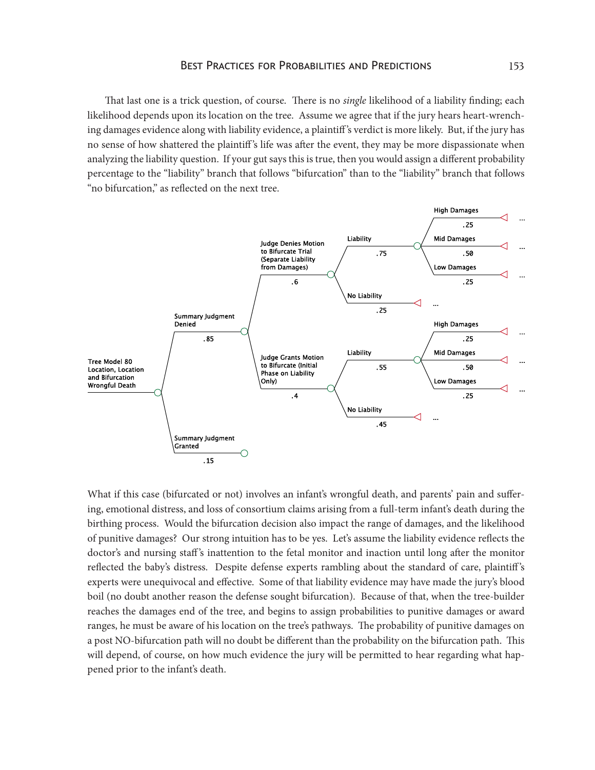That last one is a trick question, of course. There is no *single* likelihood of a liability finding; each likelihood depends upon its location on the tree. Assume we agree that if the jury hears heart-wrenching damages evidence along with liability evidence, a plaintiff 's verdict is more likely. But, if the jury has no sense of how shattered the plaintiff 's life was after the event, they may be more dispassionate when analyzing the liability question. If your gut says this is true, then you would assign a different probability percentage to the "liability" branch that follows "bifurcation" than to the "liability" branch that follows "no bifurcation," as reflected on the next tree.



What if this case (bifurcated or not) involves an infant's wrongful death, and parents' pain and suffering, emotional distress, and loss of consortium claims arising from a full-term infant's death during the birthing process. Would the bifurcation decision also impact the range of damages, and the likelihood of punitive damages? Our strong intuition has to be yes. Let's assume the liability evidence reflects the doctor's and nursing staff's inattention to the fetal monitor and inaction until long after the monitor reflected the baby's distress. Despite defense experts rambling about the standard of care, plaintiff 's experts were unequivocal and effective. Some of that liability evidence may have made the jury's blood boil (no doubt another reason the defense sought bifurcation). Because of that, when the tree-builder reaches the damages end of the tree, and begins to assign probabilities to punitive damages or award ranges, he must be aware of his location on the tree's pathways. The probability of punitive damages on a post NO-bifurcation path will no doubt be different than the probability on the bifurcation path. This will depend, of course, on how much evidence the jury will be permitted to hear regarding what happened prior to the infant's death.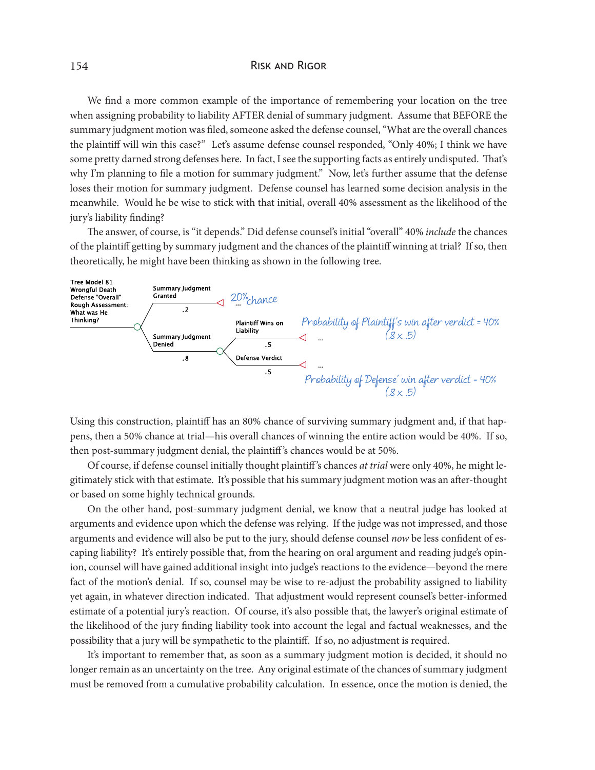#### 154 RISK AND RIGOR

We find a more common example of the importance of remembering your location on the tree when assigning probability to liability AFTER denial of summary judgment. Assume that BEFORE the summary judgment motion was filed, someone asked the defense counsel, "What are the overall chances the plaintiff will win this case?" Let's assume defense counsel responded, "Only 40%; I think we have some pretty darned strong defenses here. In fact, I see the supporting facts as entirely undisputed. That's why I'm planning to file a motion for summary judgment." Now, let's further assume that the defense loses their motion for summary judgment. Defense counsel has learned some decision analysis in the meanwhile. Would he be wise to stick with that initial, overall 40% assessment as the likelihood of the jury's liability finding?

The answer, of course, is "it depends." Did defense counsel's initial "overall" 40% *include* the chances of the plaintiff getting by summary judgment and the chances of the plaintiff winning at trial? If so, then theoretically, he might have been thinking as shown in the following tree.



Using this construction, plaintiff has an 80% chance of surviving summary judgment and, if that happens, then a 50% chance at trial—his overall chances of winning the entire action would be 40%. If so, then post-summary judgment denial, the plaintiff 's chances would be at 50%.

Of course, if defense counsel initially thought plaintiff 's chances *at trial* were only 40%, he might legitimately stick with that estimate. It's possible that his summary judgment motion was an after-thought or based on some highly technical grounds.

On the other hand, post-summary judgment denial, we know that a neutral judge has looked at arguments and evidence upon which the defense was relying. If the judge was not impressed, and those arguments and evidence will also be put to the jury, should defense counsel *now* be less confident of escaping liability? It's entirely possible that, from the hearing on oral argument and reading judge's opinion, counsel will have gained additional insight into judge's reactions to the evidence—beyond the mere fact of the motion's denial. If so, counsel may be wise to re-adjust the probability assigned to liability yet again, in whatever direction indicated. That adjustment would represent counsel's better-informed estimate of a potential jury's reaction. Of course, it's also possible that, the lawyer's original estimate of the likelihood of the jury finding liability took into account the legal and factual weaknesses, and the possibility that a jury will be sympathetic to the plaintiff. If so, no adjustment is required.

It's important to remember that, as soon as a summary judgment motion is decided, it should no longer remain as an uncertainty on the tree. Any original estimate of the chances of summary judgment must be removed from a cumulative probability calculation. In essence, once the motion is denied, the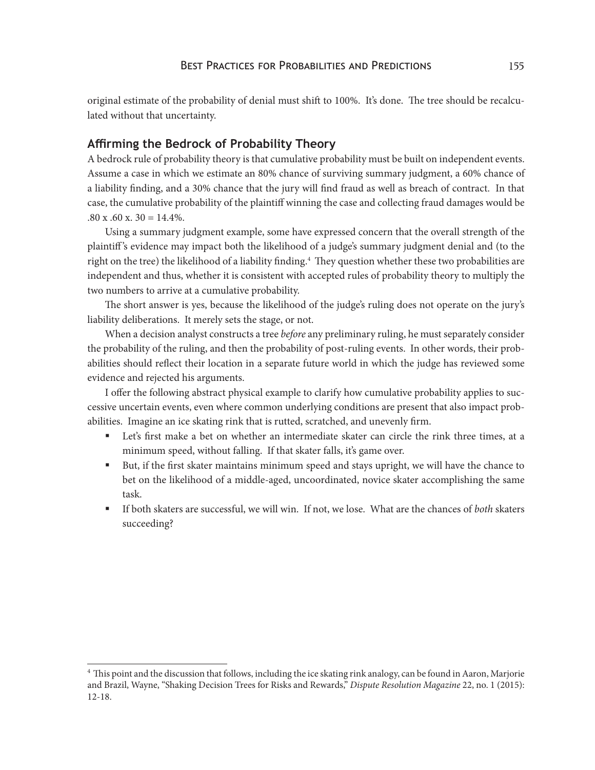original estimate of the probability of denial must shift to 100%. It's done. The tree should be recalculated without that uncertainty.

## **Affirming the Bedrock of Probability Theory**

A bedrock rule of probability theory is that cumulative probability must be built on independent events. Assume a case in which we estimate an 80% chance of surviving summary judgment, a 60% chance of a liability finding, and a 30% chance that the jury will find fraud as well as breach of contract. In that case, the cumulative probability of the plaintiff winning the case and collecting fraud damages would be  $.80 \times .60 \times .30 = 14.4\%$ .

Using a summary judgment example, some have expressed concern that the overall strength of the plaintiff 's evidence may impact both the likelihood of a judge's summary judgment denial and (to the right on the tree) the likelihood of a liability finding.<sup>4</sup> They question whether these two probabilities are independent and thus, whether it is consistent with accepted rules of probability theory to multiply the two numbers to arrive at a cumulative probability.

The short answer is yes, because the likelihood of the judge's ruling does not operate on the jury's liability deliberations. It merely sets the stage, or not.

When a decision analyst constructs a tree *before* any preliminary ruling, he must separately consider the probability of the ruling, and then the probability of post-ruling events. In other words, their probabilities should reflect their location in a separate future world in which the judge has reviewed some evidence and rejected his arguments.

I offer the following abstract physical example to clarify how cumulative probability applies to successive uncertain events, even where common underlying conditions are present that also impact probabilities. Imagine an ice skating rink that is rutted, scratched, and unevenly firm.

- Let's first make a bet on whether an intermediate skater can circle the rink three times, at a minimum speed, without falling. If that skater falls, it's game over.
- But, if the first skater maintains minimum speed and stays upright, we will have the chance to bet on the likelihood of a middle-aged, uncoordinated, novice skater accomplishing the same task.
- § If both skaters are successful, we will win. If not, we lose. What are the chances of *both* skaters succeeding?

<sup>&</sup>lt;sup>4</sup> This point and the discussion that follows, including the ice skating rink analogy, can be found in Aaron, Marjorie and Brazil, Wayne, "Shaking Decision Trees for Risks and Rewards," *Dispute Resolution Magazine* 22, no. 1 (2015): 12-18.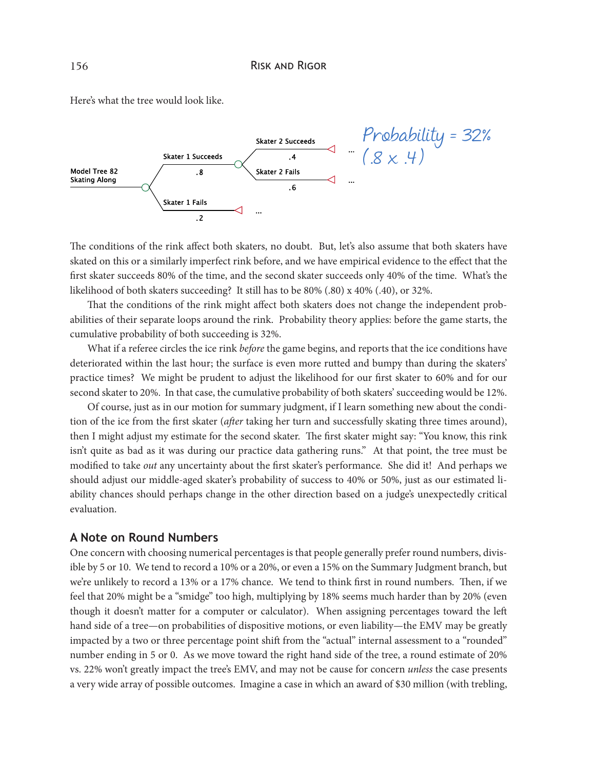Here's what the tree would look like.



The conditions of the rink affect both skaters, no doubt. But, let's also assume that both skaters have skated on this or a similarly imperfect rink before, and we have empirical evidence to the effect that the first skater succeeds 80% of the time, and the second skater succeeds only 40% of the time. What's the likelihood of both skaters succeeding? It still has to be 80% (.80) x 40% (.40), or 32%.

That the conditions of the rink might affect both skaters does not change the independent probabilities of their separate loops around the rink. Probability theory applies: before the game starts, the cumulative probability of both succeeding is 32%.

What if a referee circles the ice rink *before* the game begins, and reports that the ice conditions have deteriorated within the last hour; the surface is even more rutted and bumpy than during the skaters' practice times? We might be prudent to adjust the likelihood for our first skater to 60% and for our second skater to 20%. In that case, the cumulative probability of both skaters' succeeding would be 12%.

Of course, just as in our motion for summary judgment, if I learn something new about the condition of the ice from the first skater (*after* taking her turn and successfully skating three times around), then I might adjust my estimate for the second skater. The first skater might say: "You know, this rink isn't quite as bad as it was during our practice data gathering runs." At that point, the tree must be modified to take *out* any uncertainty about the first skater's performance. She did it! And perhaps we should adjust our middle-aged skater's probability of success to 40% or 50%, just as our estimated liability chances should perhaps change in the other direction based on a judge's unexpectedly critical evaluation.

#### **A Note on Round Numbers**

One concern with choosing numerical percentages is that people generally prefer round numbers, divisible by 5 or 10. We tend to record a 10% or a 20%, or even a 15% on the Summary Judgment branch, but we're unlikely to record a 13% or a 17% chance. We tend to think first in round numbers. Then, if we feel that 20% might be a "smidge" too high, multiplying by 18% seems much harder than by 20% (even though it doesn't matter for a computer or calculator). When assigning percentages toward the left hand side of a tree—on probabilities of dispositive motions, or even liability—the EMV may be greatly impacted by a two or three percentage point shift from the "actual" internal assessment to a "rounded" number ending in 5 or 0. As we move toward the right hand side of the tree, a round estimate of 20% vs. 22% won't greatly impact the tree's EMV, and may not be cause for concern *unless* the case presents a very wide array of possible outcomes. Imagine a case in which an award of \$30 million (with trebling,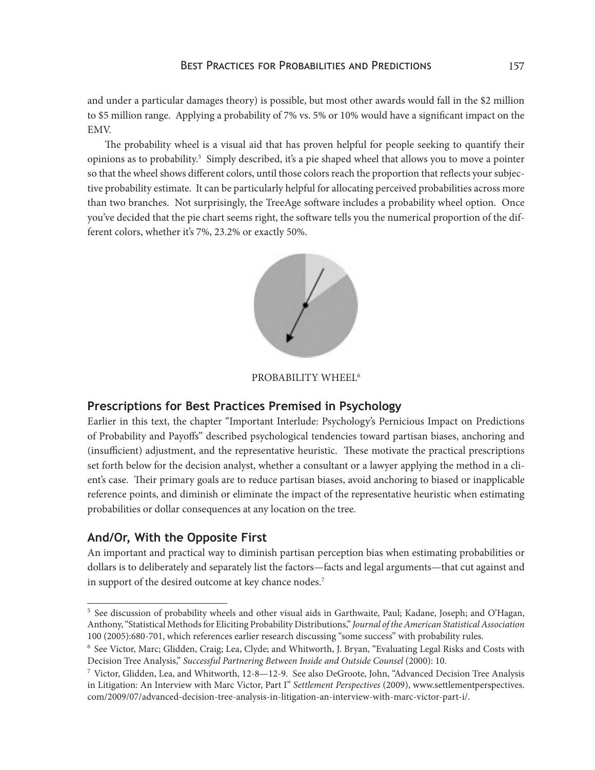and under a particular damages theory) is possible, but most other awards would fall in the \$2 million to \$5 million range. Applying a probability of 7% vs. 5% or 10% would have a significant impact on the EMV.

The probability wheel is a visual aid that has proven helpful for people seeking to quantify their opinions as to probability.<sup>5</sup> Simply described, it's a pie shaped wheel that allows you to move a pointer so that the wheel shows different colors, until those colors reach the proportion that reflects your subjective probability estimate. It can be particularly helpful for allocating perceived probabilities across more than two branches. Not surprisingly, the TreeAge software includes a probability wheel option. Once you've decided that the pie chart seems right, the software tells you the numerical proportion of the different colors, whether it's 7%, 23.2% or exactly 50%.



#### PROBABILITY WHEEL<sup>6</sup>

## **Prescriptions for Best Practices Premised in Psychology**

Earlier in this text, the chapter "Important Interlude: Psychology's Pernicious Impact on Predictions of Probability and Payoffs" described psychological tendencies toward partisan biases, anchoring and (insufficient) adjustment, and the representative heuristic. These motivate the practical prescriptions set forth below for the decision analyst, whether a consultant or a lawyer applying the method in a client's case. Their primary goals are to reduce partisan biases, avoid anchoring to biased or inapplicable reference points, and diminish or eliminate the impact of the representative heuristic when estimating probabilities or dollar consequences at any location on the tree.

#### **And/Or, With the Opposite First**

An important and practical way to diminish partisan perception bias when estimating probabilities or dollars is to deliberately and separately list the factors—facts and legal arguments—that cut against and in support of the desired outcome at key chance nodes.<sup>7</sup>

<sup>5</sup> See discussion of probability wheels and other visual aids in Garthwaite, Paul; Kadane, Joseph; and O'Hagan, Anthony, "Statistical Methods for Eliciting Probability Distributions," *Journal of the American Statistical Association* 100 (2005):680-701, which references earlier research discussing "some success" with probability rules.

<sup>6</sup> See Victor, Marc; Glidden, Craig; Lea, Clyde; and Whitworth, J. Bryan, "Evaluating Legal Risks and Costs with Decision Tree Analysis," *Successful Partnering Between Inside and Outside Counsel* (2000): 10.

<sup>&</sup>lt;sup>7</sup> Victor, Glidden, Lea, and Whitworth, 12-8—12-9. See also DeGroote, John, "Advanced Decision Tree Analysis in Litigation: An Interview with Marc Victor, Part I" *Settlement Perspectives* (2009), www.settlementperspectives. com/2009/07/advanced-decision-tree-analysis-in-litigation-an-interview-with-marc-victor-part-i/.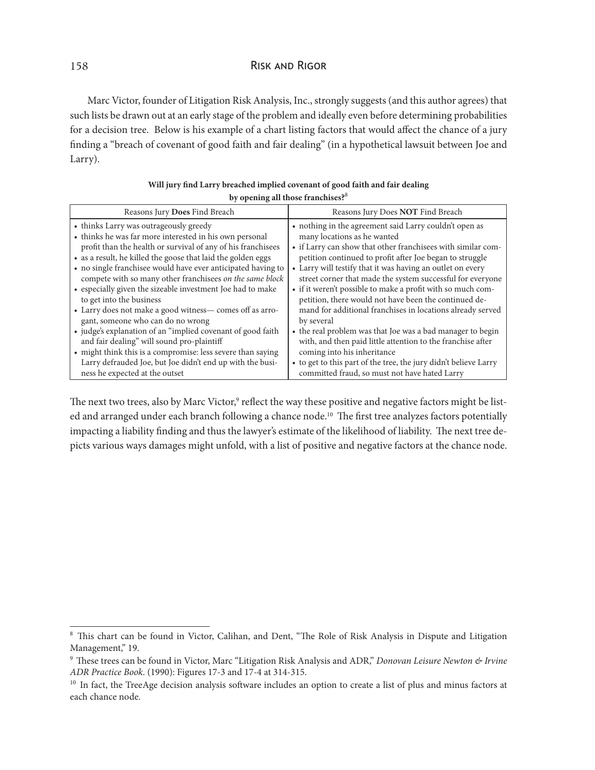## 158 Risk and Rigor

Marc Victor, founder of Litigation Risk Analysis, Inc., strongly suggests (and this author agrees) that such lists be drawn out at an early stage of the problem and ideally even before determining probabilities for a decision tree. Below is his example of a chart listing factors that would affect the chance of a jury finding a "breach of covenant of good faith and fair dealing" (in a hypothetical lawsuit between Joe and Larry).

| Reasons Jury Does Find Breach                                                                                                                                                                                                                                                                                                                                                                                                                                                                                                                                                                                                                                                                                                                                                                     | Reasons Jury Does NOT Find Breach                                                                                                                                                                                                                                                                                                                                                                                                                                                                                                                                                                                                                                                                                                                                                 |
|---------------------------------------------------------------------------------------------------------------------------------------------------------------------------------------------------------------------------------------------------------------------------------------------------------------------------------------------------------------------------------------------------------------------------------------------------------------------------------------------------------------------------------------------------------------------------------------------------------------------------------------------------------------------------------------------------------------------------------------------------------------------------------------------------|-----------------------------------------------------------------------------------------------------------------------------------------------------------------------------------------------------------------------------------------------------------------------------------------------------------------------------------------------------------------------------------------------------------------------------------------------------------------------------------------------------------------------------------------------------------------------------------------------------------------------------------------------------------------------------------------------------------------------------------------------------------------------------------|
| • thinks Larry was outrageously greedy<br>• thinks he was far more interested in his own personal<br>profit than the health or survival of any of his franchisees<br>• as a result, he killed the goose that laid the golden eggs<br>• no single franchisee would have ever anticipated having to<br>compete with so many other franchisees on the same block<br>• especially given the sizeable investment Joe had to make<br>to get into the business<br>• Larry does not make a good witness- comes off as arro-<br>gant, someone who can do no wrong<br>• judge's explanation of an "implied covenant of good faith<br>and fair dealing" will sound pro-plaintiff<br>• might think this is a compromise: less severe than saying<br>Larry defrauded Joe, but Joe didn't end up with the busi- | • nothing in the agreement said Larry couldn't open as<br>many locations as he wanted<br>• if Larry can show that other franchisees with similar com-<br>petition continued to profit after Joe began to struggle<br>• Larry will testify that it was having an outlet on every<br>street corner that made the system successful for everyone<br>• if it weren't possible to make a profit with so much com-<br>petition, there would not have been the continued de-<br>mand for additional franchises in locations already served<br>by several<br>• the real problem was that Joe was a bad manager to begin<br>with, and then paid little attention to the franchise after<br>coming into his inheritance<br>• to get to this part of the tree, the jury didn't believe Larry |
| ness he expected at the outset                                                                                                                                                                                                                                                                                                                                                                                                                                                                                                                                                                                                                                                                                                                                                                    | committed fraud, so must not have hated Larry                                                                                                                                                                                                                                                                                                                                                                                                                                                                                                                                                                                                                                                                                                                                     |
|                                                                                                                                                                                                                                                                                                                                                                                                                                                                                                                                                                                                                                                                                                                                                                                                   |                                                                                                                                                                                                                                                                                                                                                                                                                                                                                                                                                                                                                                                                                                                                                                                   |

| Will jury find Larry breached implied covenant of good faith and fair dealing |
|-------------------------------------------------------------------------------|
| by opening all those franchises? <sup>8</sup>                                 |

The next two trees, also by Marc Victor,<sup>9</sup> reflect the way these positive and negative factors might be listed and arranged under each branch following a chance node.<sup>10</sup> The first tree analyzes factors potentially impacting a liability finding and thus the lawyer's estimate of the likelihood of liability. The next tree depicts various ways damages might unfold, with a list of positive and negative factors at the chance node.

<sup>8</sup> This chart can be found in Victor, Calihan, and Dent, "The Role of Risk Analysis in Dispute and Litigation Management," 19.

<sup>9</sup> These trees can be found in Victor, Marc "Litigation Risk Analysis and ADR," *Donovan Leisure Newton & Irvine ADR Practice Book*. (1990): Figures 17-3 and 17-4 at 314-315.

<sup>&</sup>lt;sup>10</sup> In fact, the TreeAge decision analysis software includes an option to create a list of plus and minus factors at each chance node.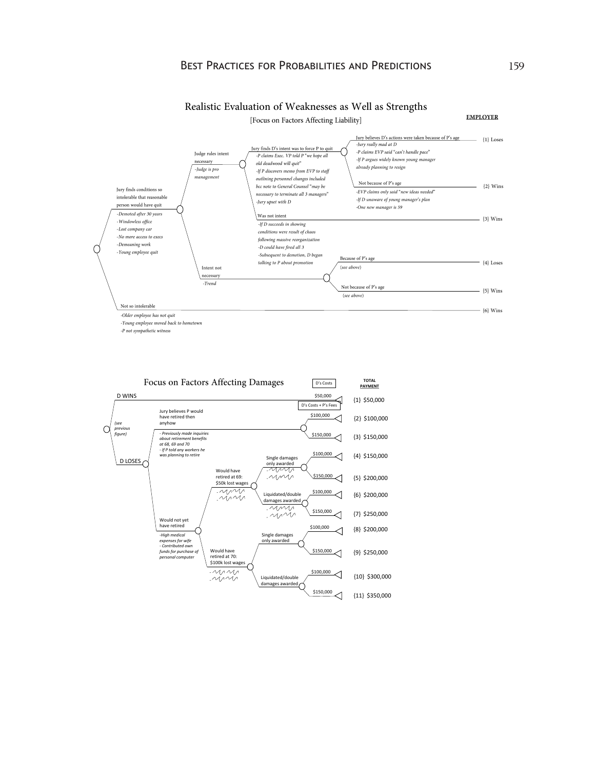



 $\mbox{-} P$  not sympathetic witness

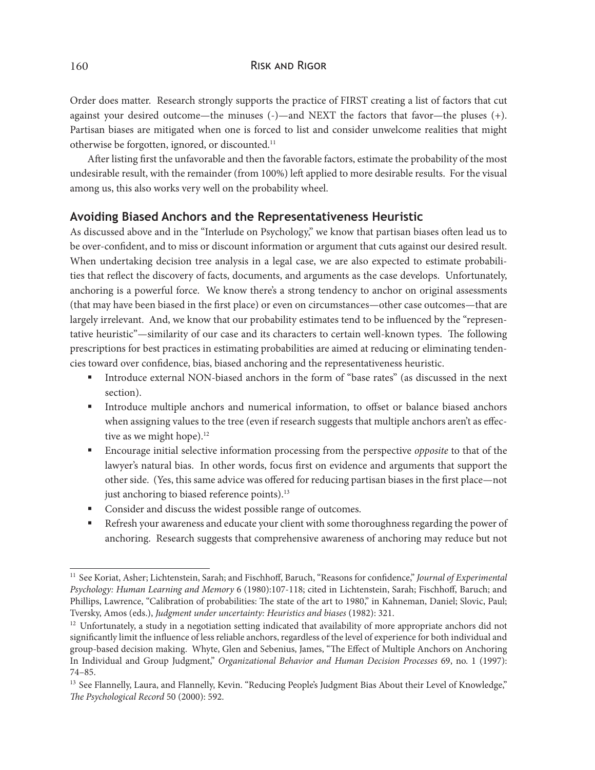Order does matter. Research strongly supports the practice of FIRST creating a list of factors that cut against your desired outcome—the minuses (-)—and NEXT the factors that favor—the pluses (+). Partisan biases are mitigated when one is forced to list and consider unwelcome realities that might otherwise be forgotten, ignored, or discounted.11

After listing first the unfavorable and then the favorable factors, estimate the probability of the most undesirable result, with the remainder (from 100%) left applied to more desirable results. For the visual among us, this also works very well on the probability wheel.

## **Avoiding Biased Anchors and the Representativeness Heuristic**

As discussed above and in the "Interlude on Psychology," we know that partisan biases often lead us to be over-confident, and to miss or discount information or argument that cuts against our desired result. When undertaking decision tree analysis in a legal case, we are also expected to estimate probabilities that reflect the discovery of facts, documents, and arguments as the case develops. Unfortunately, anchoring is a powerful force. We know there's a strong tendency to anchor on original assessments (that may have been biased in the first place) or even on circumstances—other case outcomes—that are largely irrelevant. And, we know that our probability estimates tend to be influenced by the "representative heuristic"—similarity of our case and its characters to certain well-known types. The following prescriptions for best practices in estimating probabilities are aimed at reducing or eliminating tendencies toward over confidence, bias, biased anchoring and the representativeness heuristic.

- Introduce external NON-biased anchors in the form of "base rates" (as discussed in the next section).
- § Introduce multiple anchors and numerical information, to offset or balance biased anchors when assigning values to the tree (even if research suggests that multiple anchors aren't as effective as we might hope).<sup>12</sup>
- § Encourage initial selective information processing from the perspective *opposite* to that of the lawyer's natural bias. In other words, focus first on evidence and arguments that support the other side. (Yes, this same advice was offered for reducing partisan biases in the first place—not just anchoring to biased reference points).<sup>13</sup>
- Consider and discuss the widest possible range of outcomes.
- Refresh your awareness and educate your client with some thoroughness regarding the power of anchoring. Research suggests that comprehensive awareness of anchoring may reduce but not

<sup>11</sup> See Koriat, Asher; Lichtenstein, Sarah; and Fischhoff, Baruch, "Reasons for confidence," *Journal of Experimental Psychology: Human Learning and Memory* 6 (1980):107-118; cited in Lichtenstein, Sarah; Fischhoff, Baruch; and Phillips, Lawrence, "Calibration of probabilities: The state of the art to 1980," in Kahneman, Daniel; Slovic, Paul; Tversky, Amos (eds.), *Judgment under uncertainty: Heuristics and biases* (1982): 321.

<sup>&</sup>lt;sup>12</sup> Unfortunately, a study in a negotiation setting indicated that availability of more appropriate anchors did not significantly limit the influence of less reliable anchors, regardless of the level of experience for both individual and group-based decision making. Whyte, Glen and Sebenius, James, "The Effect of Multiple Anchors on Anchoring In Individual and Group Judgment," *Organizational Behavior and Human Decision Processes* 69, no. 1 (1997): 74–85.

<sup>&</sup>lt;sup>13</sup> See Flannelly, Laura, and Flannelly, Kevin. "Reducing People's Judgment Bias About their Level of Knowledge," *The Psychological Record* 50 (2000): 592.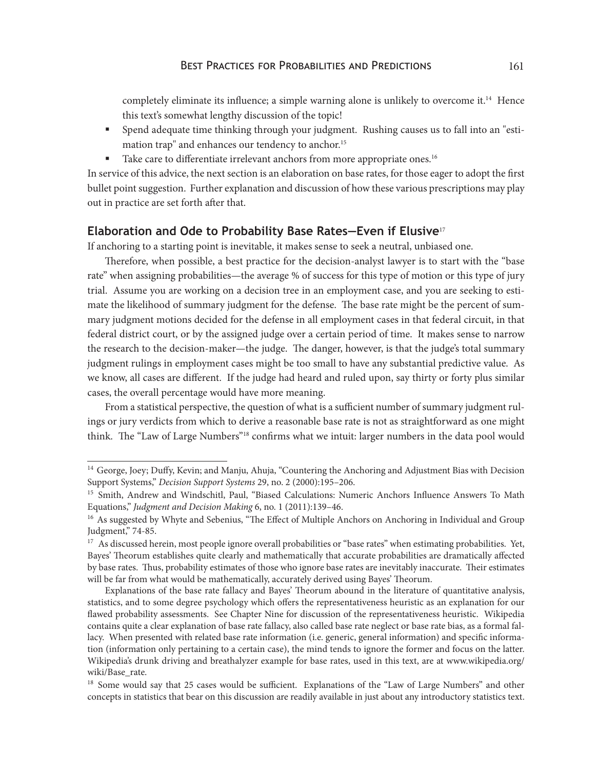completely eliminate its influence; a simple warning alone is unlikely to overcome it.<sup>14</sup> Hence this text's somewhat lengthy discussion of the topic!

- § Spend adequate time thinking through your judgment. Rushing causes us to fall into an "estimation trap" and enhances our tendency to anchor.<sup>15</sup>
- Take care to differentiate irrelevant anchors from more appropriate ones.<sup>16</sup>

In service of this advice, the next section is an elaboration on base rates, for those eager to adopt the first bullet point suggestion. Further explanation and discussion of how these various prescriptions may play out in practice are set forth after that.

#### **Elaboration and Ode to Probability Base Rates—Even if Elusive**<sup>17</sup>

If anchoring to a starting point is inevitable, it makes sense to seek a neutral, unbiased one.

Therefore, when possible, a best practice for the decision-analyst lawyer is to start with the "base rate" when assigning probabilities—the average % of success for this type of motion or this type of jury trial. Assume you are working on a decision tree in an employment case, and you are seeking to estimate the likelihood of summary judgment for the defense. The base rate might be the percent of summary judgment motions decided for the defense in all employment cases in that federal circuit, in that federal district court, or by the assigned judge over a certain period of time. It makes sense to narrow the research to the decision-maker—the judge. The danger, however, is that the judge's total summary judgment rulings in employment cases might be too small to have any substantial predictive value. As we know, all cases are different. If the judge had heard and ruled upon, say thirty or forty plus similar cases, the overall percentage would have more meaning.

From a statistical perspective, the question of what is a sufficient number of summary judgment rulings or jury verdicts from which to derive a reasonable base rate is not as straightforward as one might think. The "Law of Large Numbers"18 confirms what we intuit: larger numbers in the data pool would

<sup>&</sup>lt;sup>14</sup> George, Joey; Duffy, Kevin; and Manju, Ahuja, "Countering the Anchoring and Adjustment Bias with Decision Support Systems," *Decision Support Systems* 29, no. 2 (2000):195–206.

<sup>15</sup> Smith, Andrew and Windschitl, Paul, "Biased Calculations: Numeric Anchors Influence Answers To Math Equations," *Judgment and Decision Making* 6, no. 1 (2011):139–46.

<sup>&</sup>lt;sup>16</sup> As suggested by Whyte and Sebenius, "The Effect of Multiple Anchors on Anchoring in Individual and Group Judgment," 74-85.

<sup>&</sup>lt;sup>17</sup> As discussed herein, most people ignore overall probabilities or "base rates" when estimating probabilities. Yet, Bayes' Theorum establishes quite clearly and mathematically that accurate probabilities are dramatically affected by base rates. Thus, probability estimates of those who ignore base rates are inevitably inaccurate. Their estimates will be far from what would be mathematically, accurately derived using Bayes' Theorum.

Explanations of the base rate fallacy and Bayes' Theorum abound in the literature of quantitative analysis, statistics, and to some degree psychology which offers the representativeness heuristic as an explanation for our flawed probability assessments. See Chapter Nine for discussion of the representativeness heuristic. Wikipedia contains quite a clear explanation of base rate fallacy, also called base rate neglect or base rate bias, as a formal fallacy. When presented with related base rate information (i.e. generic, general information) and specific information (information only pertaining to a certain case), the mind tends to ignore the former and focus on the latter. Wikipedia's drunk driving and breathalyzer example for base rates, used in this text, are at www.wikipedia.org/ wiki/Base\_rate.

<sup>&</sup>lt;sup>18</sup> Some would say that 25 cases would be sufficient. Explanations of the "Law of Large Numbers" and other concepts in statistics that bear on this discussion are readily available in just about any introductory statistics text.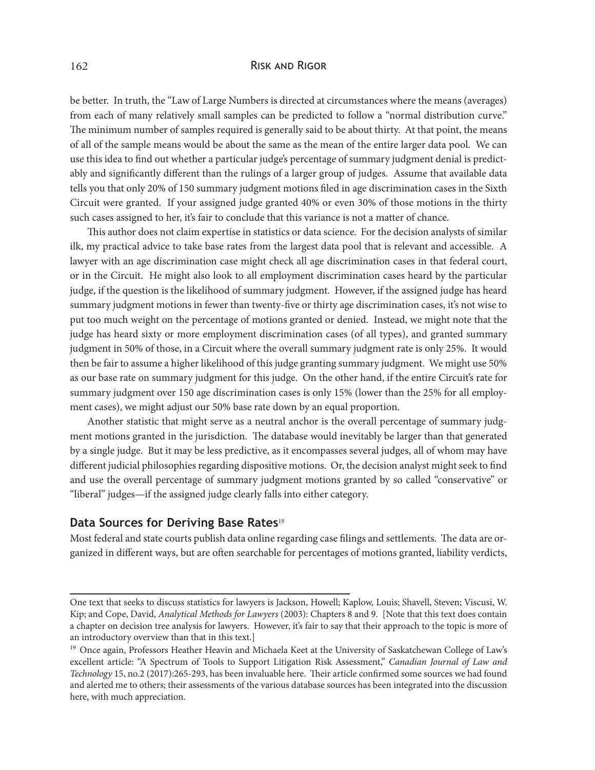#### 162 Risk and Rigor

be better. In truth, the "Law of Large Numbers is directed at circumstances where the means (averages) from each of many relatively small samples can be predicted to follow a "normal distribution curve." The minimum number of samples required is generally said to be about thirty. At that point, the means of all of the sample means would be about the same as the mean of the entire larger data pool. We can use this idea to find out whether a particular judge's percentage of summary judgment denial is predictably and significantly different than the rulings of a larger group of judges. Assume that available data tells you that only 20% of 150 summary judgment motions filed in age discrimination cases in the Sixth Circuit were granted. If your assigned judge granted 40% or even 30% of those motions in the thirty such cases assigned to her, it's fair to conclude that this variance is not a matter of chance.

This author does not claim expertise in statistics or data science. For the decision analysts of similar ilk, my practical advice to take base rates from the largest data pool that is relevant and accessible. A lawyer with an age discrimination case might check all age discrimination cases in that federal court, or in the Circuit. He might also look to all employment discrimination cases heard by the particular judge, if the question is the likelihood of summary judgment. However, if the assigned judge has heard summary judgment motions in fewer than twenty-five or thirty age discrimination cases, it's not wise to put too much weight on the percentage of motions granted or denied. Instead, we might note that the judge has heard sixty or more employment discrimination cases (of all types), and granted summary judgment in 50% of those, in a Circuit where the overall summary judgment rate is only 25%. It would then be fair to assume a higher likelihood of this judge granting summary judgment. We might use 50% as our base rate on summary judgment for this judge. On the other hand, if the entire Circuit's rate for summary judgment over 150 age discrimination cases is only 15% (lower than the 25% for all employment cases), we might adjust our 50% base rate down by an equal proportion.

Another statistic that might serve as a neutral anchor is the overall percentage of summary judgment motions granted in the jurisdiction. The database would inevitably be larger than that generated by a single judge. But it may be less predictive, as it encompasses several judges, all of whom may have different judicial philosophies regarding dispositive motions. Or, the decision analyst might seek to find and use the overall percentage of summary judgment motions granted by so called "conservative" or "liberal" judges—if the assigned judge clearly falls into either category.

#### **Data Sources for Deriving Base Rates**<sup>19</sup>

Most federal and state courts publish data online regarding case filings and settlements. The data are organized in different ways, but are often searchable for percentages of motions granted, liability verdicts,

One text that seeks to discuss statistics for lawyers is Jackson, Howell; Kaplow, Louis; Shavell, Steven; Viscusi, W. Kip; and Cope, David, *Analytical Methods for Lawyers* (2003): Chapters 8 and 9. [Note that this text does contain a chapter on decision tree analysis for lawyers. However, it's fair to say that their approach to the topic is more of an introductory overview than that in this text.]

<sup>&</sup>lt;sup>19</sup> Once again, Professors Heather Heavin and Michaela Keet at the University of Saskatchewan College of Law's excellent article: "A Spectrum of Tools to Support Litigation Risk Assessment," *Canadian Journal of Law and Technology* 15, no.2 (2017):265-293, has been invaluable here. Their article confirmed some sources we had found and alerted me to others; their assessments of the various database sources has been integrated into the discussion here, with much appreciation.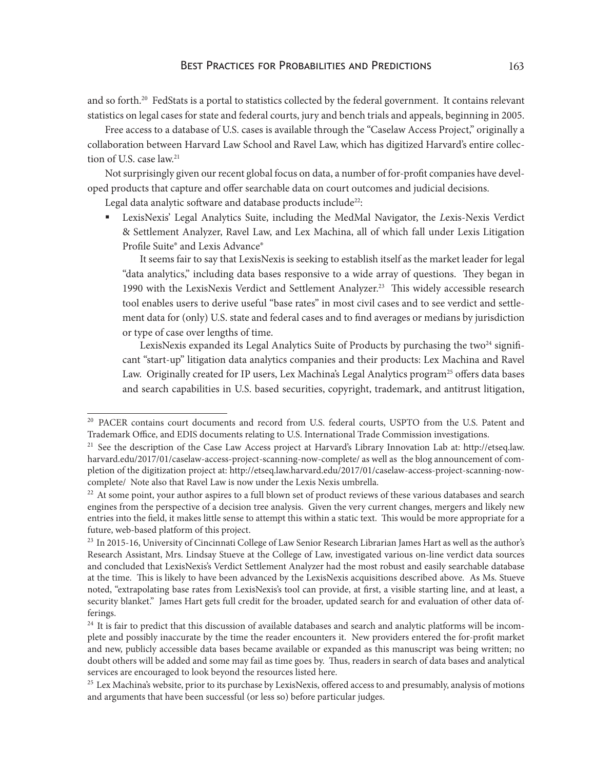and so forth.<sup>20</sup> FedStats is a portal to statistics collected by the federal government. It contains relevant statistics on legal cases for state and federal courts, jury and bench trials and appeals, beginning in 2005.

Free access to a database of U.S. cases is available through the "Caselaw Access Project," originally a collaboration between Harvard Law School and Ravel Law, which has digitized Harvard's entire collection of U.S. case law.<sup>21</sup>

Not surprisingly given our recent global focus on data, a number of for-profit companies have developed products that capture and offer searchable data on court outcomes and judicial decisions.

Legal data analytic software and database products include<sup>22</sup>:

§ LexisNexis' Legal Analytics Suite, including the MedMal Navigator, the *L*exis-Nexis Verdict & Settlement Analyzer, Ravel Law, and Lex Machina, all of which fall under Lexis Litigation Profile Suite® and Lexis Advance®

It seems fair to say that LexisNexis is seeking to establish itself as the market leader for legal "data analytics," including data bases responsive to a wide array of questions. They began in 1990 with the LexisNexis Verdict and Settlement Analyzer.<sup>23</sup> This widely accessible research tool enables users to derive useful "base rates" in most civil cases and to see verdict and settlement data for (only) U.S. state and federal cases and to find averages or medians by jurisdiction or type of case over lengths of time.

LexisNexis expanded its Legal Analytics Suite of Products by purchasing the two $^{24}$  significant "start-up" litigation data analytics companies and their products: Lex Machina and Ravel Law. Originally created for IP users, Lex Machina's Legal Analytics program<sup>25</sup> offers data bases and search capabilities in U.S. based securities, copyright, trademark, and antitrust litigation,

<sup>&</sup>lt;sup>20</sup> PACER contains court documents and record from U.S. federal courts, USPTO from the U.S. Patent and Trademark Office, and EDIS documents relating to U.S. International Trade Commission investigations.

<sup>&</sup>lt;sup>21</sup> See the description of the Case Law Access project at Harvard's Library Innovation Lab at: http://etseq.law. harvard.edu/2017/01/caselaw-access-project-scanning-now-complete/ as well as the blog announcement of completion of the digitization project at: http://etseq.law.harvard.edu/2017/01/caselaw-access-project-scanning-nowcomplete/ Note also that Ravel Law is now under the Lexis Nexis umbrella.

 $22$  At some point, your author aspires to a full blown set of product reviews of these various databases and search engines from the perspective of a decision tree analysis. Given the very current changes, mergers and likely new entries into the field, it makes little sense to attempt this within a static text. This would be more appropriate for a future, web-based platform of this project.

<sup>&</sup>lt;sup>23</sup> In 2015-16, University of Cincinnati College of Law Senior Research Librarian James Hart as well as the author's Research Assistant, Mrs. Lindsay Stueve at the College of Law, investigated various on-line verdict data sources and concluded that LexisNexis's Verdict Settlement Analyzer had the most robust and easily searchable database at the time. This is likely to have been advanced by the LexisNexis acquisitions described above. As Ms. Stueve noted, "extrapolating base rates from LexisNexis's tool can provide, at first, a visible starting line, and at least, a security blanket." James Hart gets full credit for the broader, updated search for and evaluation of other data offerings.

<sup>&</sup>lt;sup>24</sup> It is fair to predict that this discussion of available databases and search and analytic platforms will be incomplete and possibly inaccurate by the time the reader encounters it. New providers entered the for-profit market and new, publicly accessible data bases became available or expanded as this manuscript was being written; no doubt others will be added and some may fail as time goes by. Thus, readers in search of data bases and analytical services are encouraged to look beyond the resources listed here.

 $25$  Lex Machina's website, prior to its purchase by LexisNexis, offered access to and presumably, analysis of motions and arguments that have been successful (or less so) before particular judges.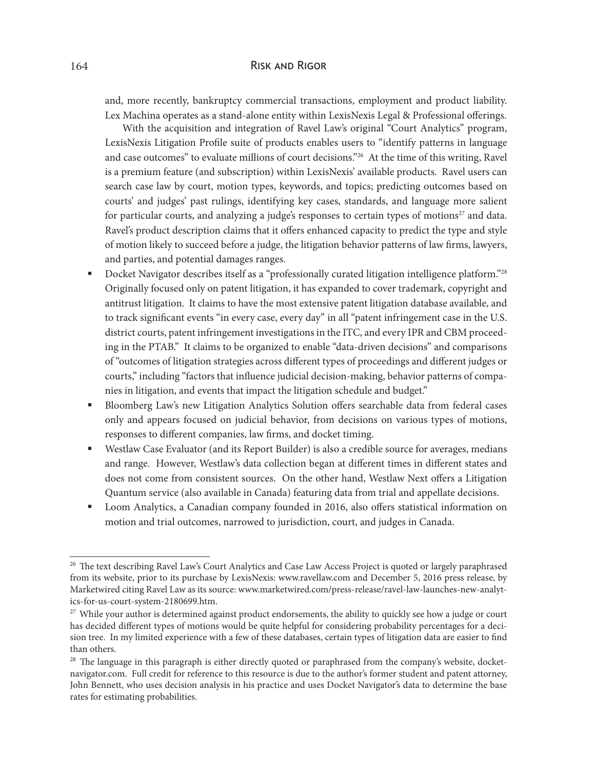#### 164 Risk and Rigor

and, more recently, bankruptcy commercial transactions, employment and product liability. Lex Machina operates as a stand-alone entity within LexisNexis Legal & Professional offerings.

With the acquisition and integration of Ravel Law's original "Court Analytics" program, LexisNexis Litigation Profile suite of products enables users to "identify patterns in language and case outcomes" to evaluate millions of court decisions."26 At the time of this writing, Ravel is a premium feature (and subscription) within LexisNexis' available products. Ravel users can search case law by court, motion types, keywords, and topics; predicting outcomes based on courts' and judges' past rulings, identifying key cases, standards, and language more salient for particular courts, and analyzing a judge's responses to certain types of motions<sup>27</sup> and data. Ravel's product description claims that it offers enhanced capacity to predict the type and style of motion likely to succeed before a judge, the litigation behavior patterns of law firms, lawyers, and parties, and potential damages ranges.

- Docket Navigator describes itself as a "professionally curated litigation intelligence platform."<sup>28</sup> Originally focused only on patent litigation, it has expanded to cover trademark, copyright and antitrust litigation. It claims to have the most extensive patent litigation database available, and to track significant events "in every case, every day" in all "patent infringement case in the U.S. district courts, patent infringement investigations in the ITC, and every IPR and CBM proceeding in the PTAB." It claims to be organized to enable "data-driven decisions" and comparisons of "outcomes of litigation strategies across different types of proceedings and different judges or courts," including "factors that influence judicial decision-making, behavior patterns of companies in litigation, and events that impact the litigation schedule and budget."
- § Bloomberg Law's new Litigation Analytics Solution offers searchable data from federal cases only and appears focused on judicial behavior, from decisions on various types of motions, responses to different companies, law firms, and docket timing.
- Westlaw Case Evaluator (and its Report Builder) is also a credible source for averages, medians and range. However, Westlaw's data collection began at different times in different states and does not come from consistent sources. On the other hand, Westlaw Next offers a Litigation Quantum service (also available in Canada) featuring data from trial and appellate decisions.
- § Loom Analytics, a Canadian company founded in 2016, also offers statistical information on motion and trial outcomes, narrowed to jurisdiction, court, and judges in Canada.

<sup>&</sup>lt;sup>26</sup> The text describing Ravel Law's Court Analytics and Case Law Access Project is quoted or largely paraphrased from its website, prior to its purchase by LexisNexis: www.ravellaw.com and December 5, 2016 press release, by Marketwired citing Ravel Law as its source: www.marketwired.com/press-release/ravel-law-launches-new-analytics-for-us-court-system-2180699.htm.

<sup>&</sup>lt;sup>27</sup> While your author is determined against product endorsements, the ability to quickly see how a judge or court has decided different types of motions would be quite helpful for considering probability percentages for a decision tree. In my limited experience with a few of these databases, certain types of litigation data are easier to find than others.

<sup>&</sup>lt;sup>28</sup> The language in this paragraph is either directly quoted or paraphrased from the company's website, docketnavigator.com. Full credit for reference to this resource is due to the author's former student and patent attorney, John Bennett, who uses decision analysis in his practice and uses Docket Navigator's data to determine the base rates for estimating probabilities.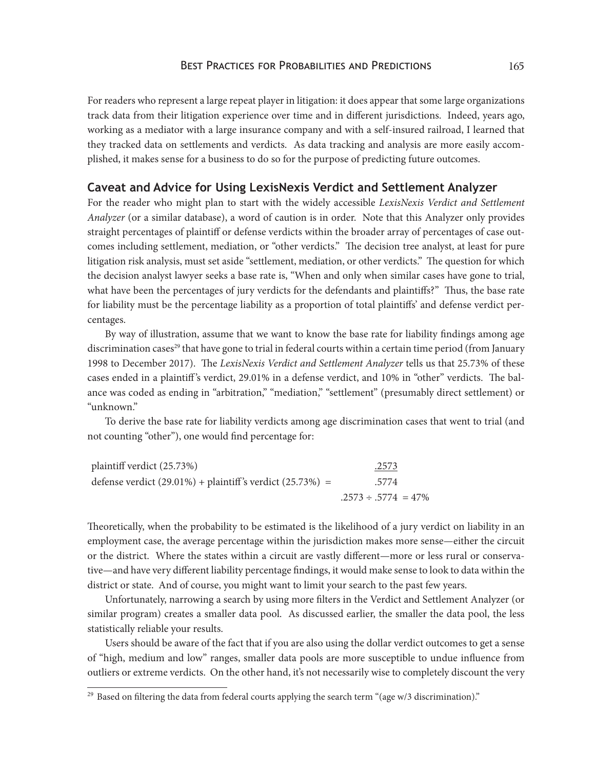#### Best Practices for Probabilities and Predictions 165

For readers who represent a large repeat player in litigation: it does appear that some large organizations track data from their litigation experience over time and in different jurisdictions. Indeed, years ago, working as a mediator with a large insurance company and with a self-insured railroad, I learned that they tracked data on settlements and verdicts. As data tracking and analysis are more easily accomplished, it makes sense for a business to do so for the purpose of predicting future outcomes.

#### **Caveat and Advice for Using LexisNexis Verdict and Settlement Analyzer**

For the reader who might plan to start with the widely accessible *LexisNexis Verdict and Settlement Analyzer* (or a similar database), a word of caution is in order. Note that this Analyzer only provides straight percentages of plaintiff or defense verdicts within the broader array of percentages of case outcomes including settlement, mediation, or "other verdicts." The decision tree analyst, at least for pure litigation risk analysis, must set aside "settlement, mediation, or other verdicts." The question for which the decision analyst lawyer seeks a base rate is, "When and only when similar cases have gone to trial, what have been the percentages of jury verdicts for the defendants and plaintiffs?" Thus, the base rate for liability must be the percentage liability as a proportion of total plaintiffs' and defense verdict percentages.

By way of illustration, assume that we want to know the base rate for liability findings among age discrimination cases<sup>29</sup> that have gone to trial in federal courts within a certain time period (from January 1998 to December 2017). The *LexisNexis Verdict and Settlement Analyzer* tells us that 25.73% of these cases ended in a plaintiff 's verdict, 29.01% in a defense verdict, and 10% in "other" verdicts. The balance was coded as ending in "arbitration," "mediation," "settlement" (presumably direct settlement) or "unknown."

To derive the base rate for liability verdicts among age discrimination cases that went to trial (and not counting "other"), one would find percentage for:

| plaintiff verdict (25.73%)                                      | .2573                     |
|-----------------------------------------------------------------|---------------------------|
| defense verdict $(29.01\%)$ + plaintiff's verdict $(25.73\%)$ = | .5774                     |
|                                                                 | $.2573 \div .5774 = 47\%$ |

Theoretically, when the probability to be estimated is the likelihood of a jury verdict on liability in an employment case, the average percentage within the jurisdiction makes more sense—either the circuit or the district. Where the states within a circuit are vastly different—more or less rural or conservative—and have very different liability percentage findings, it would make sense to look to data within the district or state. And of course, you might want to limit your search to the past few years.

Unfortunately, narrowing a search by using more filters in the Verdict and Settlement Analyzer (or similar program) creates a smaller data pool. As discussed earlier, the smaller the data pool, the less statistically reliable your results.

Users should be aware of the fact that if you are also using the dollar verdict outcomes to get a sense of "high, medium and low" ranges, smaller data pools are more susceptible to undue influence from outliers or extreme verdicts. On the other hand, it's not necessarily wise to completely discount the very

<sup>&</sup>lt;sup>29</sup> Based on filtering the data from federal courts applying the search term "(age w/3 discrimination)."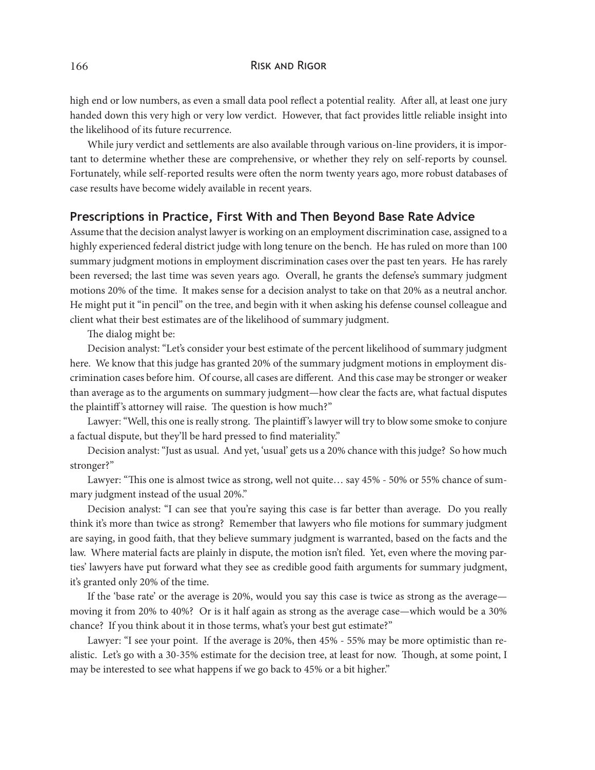high end or low numbers, as even a small data pool reflect a potential reality. After all, at least one jury handed down this very high or very low verdict. However, that fact provides little reliable insight into the likelihood of its future recurrence.

While jury verdict and settlements are also available through various on-line providers, it is important to determine whether these are comprehensive, or whether they rely on self-reports by counsel. Fortunately, while self-reported results were often the norm twenty years ago, more robust databases of case results have become widely available in recent years.

#### **Prescriptions in Practice, First With and Then Beyond Base Rate Advice**

Assume that the decision analyst lawyer is working on an employment discrimination case, assigned to a highly experienced federal district judge with long tenure on the bench. He has ruled on more than 100 summary judgment motions in employment discrimination cases over the past ten years. He has rarely been reversed; the last time was seven years ago. Overall, he grants the defense's summary judgment motions 20% of the time. It makes sense for a decision analyst to take on that 20% as a neutral anchor. He might put it "in pencil" on the tree, and begin with it when asking his defense counsel colleague and client what their best estimates are of the likelihood of summary judgment.

The dialog might be:

Decision analyst: "Let's consider your best estimate of the percent likelihood of summary judgment here. We know that this judge has granted 20% of the summary judgment motions in employment discrimination cases before him. Of course, all cases are different. And this case may be stronger or weaker than average as to the arguments on summary judgment—how clear the facts are, what factual disputes the plaintiff 's attorney will raise. The question is how much?"

Lawyer: "Well, this one is really strong. The plaintiff 's lawyer will try to blow some smoke to conjure a factual dispute, but they'll be hard pressed to find materiality."

Decision analyst: "Just as usual. And yet, 'usual' gets us a 20% chance with this judge? So how much stronger?"

Lawyer: "This one is almost twice as strong, well not quite… say 45% - 50% or 55% chance of summary judgment instead of the usual 20%."

Decision analyst: "I can see that you're saying this case is far better than average. Do you really think it's more than twice as strong? Remember that lawyers who file motions for summary judgment are saying, in good faith, that they believe summary judgment is warranted, based on the facts and the law. Where material facts are plainly in dispute, the motion isn't filed. Yet, even where the moving parties' lawyers have put forward what they see as credible good faith arguments for summary judgment, it's granted only 20% of the time.

If the 'base rate' or the average is 20%, would you say this case is twice as strong as the average moving it from 20% to 40%? Or is it half again as strong as the average case—which would be a 30% chance? If you think about it in those terms, what's your best gut estimate?"

Lawyer: "I see your point. If the average is 20%, then 45% - 55% may be more optimistic than realistic. Let's go with a 30-35% estimate for the decision tree, at least for now. Though, at some point, I may be interested to see what happens if we go back to 45% or a bit higher."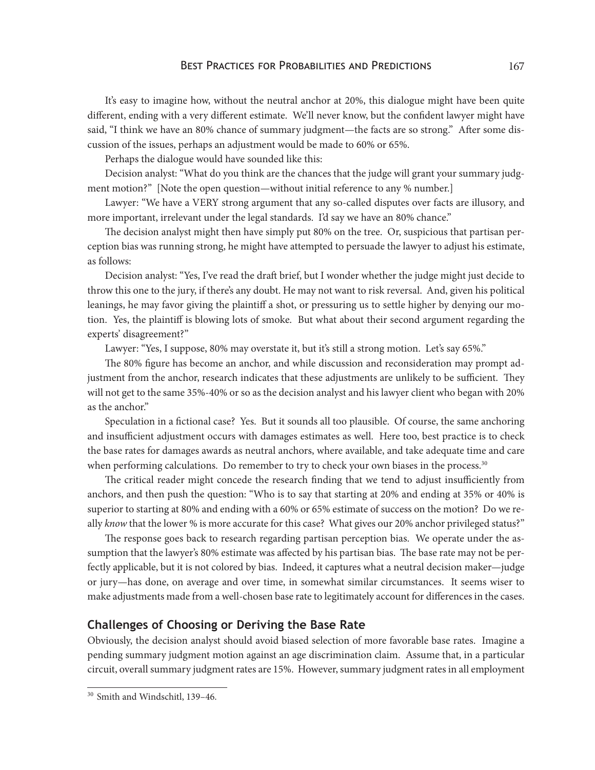#### BEST PRACTICES FOR PROBABILITIES AND PREDICTIONS 167

It's easy to imagine how, without the neutral anchor at 20%, this dialogue might have been quite different, ending with a very different estimate. We'll never know, but the confident lawyer might have said, "I think we have an 80% chance of summary judgment—the facts are so strong." After some discussion of the issues, perhaps an adjustment would be made to 60% or 65%.

Perhaps the dialogue would have sounded like this:

Decision analyst: "What do you think are the chances that the judge will grant your summary judgment motion?" [Note the open question—without initial reference to any % number.]

Lawyer: "We have a VERY strong argument that any so-called disputes over facts are illusory, and more important, irrelevant under the legal standards. I'd say we have an 80% chance."

The decision analyst might then have simply put 80% on the tree. Or, suspicious that partisan perception bias was running strong, he might have attempted to persuade the lawyer to adjust his estimate, as follows:

Decision analyst: "Yes, I've read the draft brief, but I wonder whether the judge might just decide to throw this one to the jury, if there's any doubt. He may not want to risk reversal. And, given his political leanings, he may favor giving the plaintiff a shot, or pressuring us to settle higher by denying our motion. Yes, the plaintiff is blowing lots of smoke. But what about their second argument regarding the experts' disagreement?"

Lawyer: "Yes, I suppose, 80% may overstate it, but it's still a strong motion. Let's say 65%."

The 80% figure has become an anchor, and while discussion and reconsideration may prompt adjustment from the anchor, research indicates that these adjustments are unlikely to be sufficient. They will not get to the same 35%-40% or so as the decision analyst and his lawyer client who began with 20% as the anchor."

Speculation in a fictional case? Yes. But it sounds all too plausible. Of course, the same anchoring and insufficient adjustment occurs with damages estimates as well. Here too, best practice is to check the base rates for damages awards as neutral anchors, where available, and take adequate time and care when performing calculations. Do remember to try to check your own biases in the process.<sup>30</sup>

The critical reader might concede the research finding that we tend to adjust insufficiently from anchors, and then push the question: "Who is to say that starting at 20% and ending at 35% or 40% is superior to starting at 80% and ending with a 60% or 65% estimate of success on the motion? Do we really *know* that the lower % is more accurate for this case? What gives our 20% anchor privileged status?"

The response goes back to research regarding partisan perception bias. We operate under the assumption that the lawyer's 80% estimate was affected by his partisan bias. The base rate may not be perfectly applicable, but it is not colored by bias. Indeed, it captures what a neutral decision maker—judge or jury—has done, on average and over time, in somewhat similar circumstances. It seems wiser to make adjustments made from a well-chosen base rate to legitimately account for differences in the cases.

### **Challenges of Choosing or Deriving the Base Rate**

Obviously, the decision analyst should avoid biased selection of more favorable base rates. Imagine a pending summary judgment motion against an age discrimination claim. Assume that, in a particular circuit, overall summary judgment rates are 15%. However, summary judgment rates in all employment

<sup>30</sup> Smith and Windschitl, 139–46.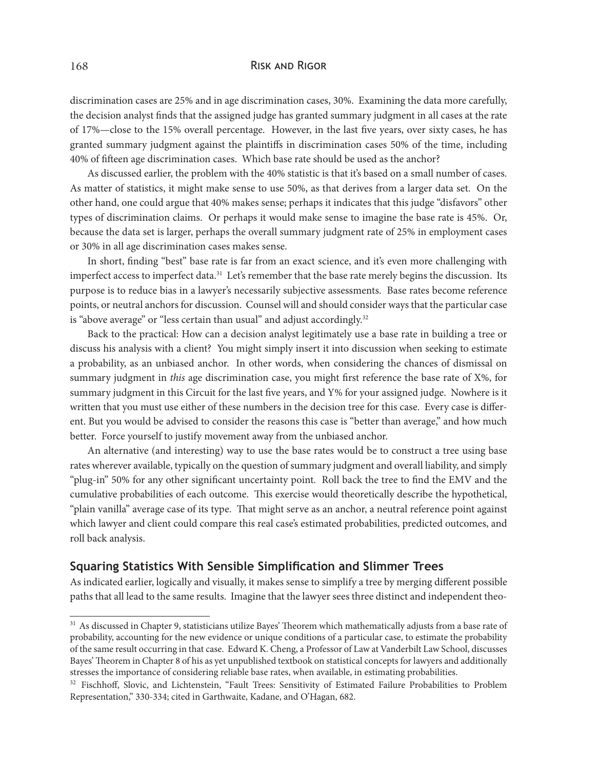#### 168 Risk and Rigor

discrimination cases are 25% and in age discrimination cases, 30%. Examining the data more carefully, the decision analyst finds that the assigned judge has granted summary judgment in all cases at the rate of 17%—close to the 15% overall percentage. However, in the last five years, over sixty cases, he has granted summary judgment against the plaintiffs in discrimination cases 50% of the time, including 40% of fifteen age discrimination cases. Which base rate should be used as the anchor?

As discussed earlier, the problem with the 40% statistic is that it's based on a small number of cases. As matter of statistics, it might make sense to use 50%, as that derives from a larger data set. On the other hand, one could argue that 40% makes sense; perhaps it indicates that this judge "disfavors" other types of discrimination claims. Or perhaps it would make sense to imagine the base rate is 45%. Or, because the data set is larger, perhaps the overall summary judgment rate of 25% in employment cases or 30% in all age discrimination cases makes sense.

In short, finding "best" base rate is far from an exact science, and it's even more challenging with imperfect access to imperfect data.<sup>31</sup> Let's remember that the base rate merely begins the discussion. Its purpose is to reduce bias in a lawyer's necessarily subjective assessments. Base rates become reference points, or neutral anchors for discussion. Counsel will and should consider ways that the particular case is "above average" or "less certain than usual" and adjust accordingly.<sup>32</sup>

Back to the practical: How can a decision analyst legitimately use a base rate in building a tree or discuss his analysis with a client? You might simply insert it into discussion when seeking to estimate a probability, as an unbiased anchor. In other words, when considering the chances of dismissal on summary judgment in *this* age discrimination case, you might first reference the base rate of X%, for summary judgment in this Circuit for the last five years, and Y% for your assigned judge. Nowhere is it written that you must use either of these numbers in the decision tree for this case. Every case is different. But you would be advised to consider the reasons this case is "better than average," and how much better. Force yourself to justify movement away from the unbiased anchor.

An alternative (and interesting) way to use the base rates would be to construct a tree using base rates wherever available, typically on the question of summary judgment and overall liability, and simply "plug-in" 50% for any other significant uncertainty point. Roll back the tree to find the EMV and the cumulative probabilities of each outcome. This exercise would theoretically describe the hypothetical, "plain vanilla" average case of its type. That might serve as an anchor, a neutral reference point against which lawyer and client could compare this real case's estimated probabilities, predicted outcomes, and roll back analysis.

## **Squaring Statistics With Sensible Simplification and Slimmer Trees**

As indicated earlier, logically and visually, it makes sense to simplify a tree by merging different possible paths that all lead to the same results. Imagine that the lawyer sees three distinct and independent theo-

<sup>&</sup>lt;sup>31</sup> As discussed in Chapter 9, statisticians utilize Bayes' Theorem which mathematically adjusts from a base rate of probability, accounting for the new evidence or unique conditions of a particular case, to estimate the probability of the same result occurring in that case. Edward K. Cheng, a Professor of Law at Vanderbilt Law School, discusses Bayes' Theorem in Chapter 8 of his as yet unpublished textbook on statistical concepts for lawyers and additionally stresses the importance of considering reliable base rates, when available, in estimating probabilities.

<sup>&</sup>lt;sup>32</sup> Fischhoff, Slovic, and Lichtenstein, "Fault Trees: Sensitivity of Estimated Failure Probabilities to Problem Representation," 330-334; cited in Garthwaite, Kadane, and O'Hagan, 682.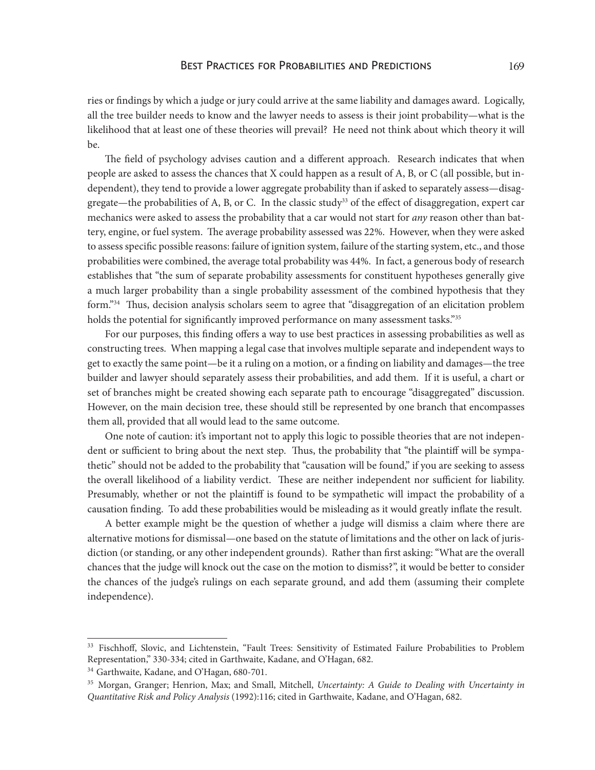ries or findings by which a judge or jury could arrive at the same liability and damages award. Logically, all the tree builder needs to know and the lawyer needs to assess is their joint probability—what is the likelihood that at least one of these theories will prevail? He need not think about which theory it will be.

The field of psychology advises caution and a different approach. Research indicates that when people are asked to assess the chances that X could happen as a result of A, B, or C (all possible, but independent), they tend to provide a lower aggregate probability than if asked to separately assess—disaggregate—the probabilities of A, B, or C. In the classic study<sup>33</sup> of the effect of disaggregation, expert car mechanics were asked to assess the probability that a car would not start for *any* reason other than battery, engine, or fuel system. The average probability assessed was 22%. However, when they were asked to assess specific possible reasons: failure of ignition system, failure of the starting system, etc., and those probabilities were combined, the average total probability was 44%. In fact, a generous body of research establishes that "the sum of separate probability assessments for constituent hypotheses generally give a much larger probability than a single probability assessment of the combined hypothesis that they form."<sup>34</sup> Thus, decision analysis scholars seem to agree that "disaggregation of an elicitation problem holds the potential for significantly improved performance on many assessment tasks."<sup>35</sup>

For our purposes, this finding offers a way to use best practices in assessing probabilities as well as constructing trees. When mapping a legal case that involves multiple separate and independent ways to get to exactly the same point—be it a ruling on a motion, or a finding on liability and damages—the tree builder and lawyer should separately assess their probabilities, and add them. If it is useful, a chart or set of branches might be created showing each separate path to encourage "disaggregated" discussion. However, on the main decision tree, these should still be represented by one branch that encompasses them all, provided that all would lead to the same outcome.

One note of caution: it's important not to apply this logic to possible theories that are not independent or sufficient to bring about the next step. Thus, the probability that "the plaintiff will be sympathetic" should not be added to the probability that "causation will be found," if you are seeking to assess the overall likelihood of a liability verdict. These are neither independent nor sufficient for liability. Presumably, whether or not the plaintiff is found to be sympathetic will impact the probability of a causation finding. To add these probabilities would be misleading as it would greatly inflate the result.

A better example might be the question of whether a judge will dismiss a claim where there are alternative motions for dismissal—one based on the statute of limitations and the other on lack of jurisdiction (or standing, or any other independent grounds). Rather than first asking: "What are the overall chances that the judge will knock out the case on the motion to dismiss?", it would be better to consider the chances of the judge's rulings on each separate ground, and add them (assuming their complete independence).

<sup>&</sup>lt;sup>33</sup> Fischhoff, Slovic, and Lichtenstein, "Fault Trees: Sensitivity of Estimated Failure Probabilities to Problem Representation," 330-334; cited in Garthwaite, Kadane, and O'Hagan, 682.

<sup>&</sup>lt;sup>34</sup> Garthwaite, Kadane, and O'Hagan, 680-701.

<sup>35</sup> Morgan, Granger; Henrion, Max; and Small, Mitchell, *Uncertainty: A Guide to Dealing with Uncertainty in Quantitative Risk and Policy Analysis* (1992):116; cited in Garthwaite, Kadane, and O'Hagan, 682.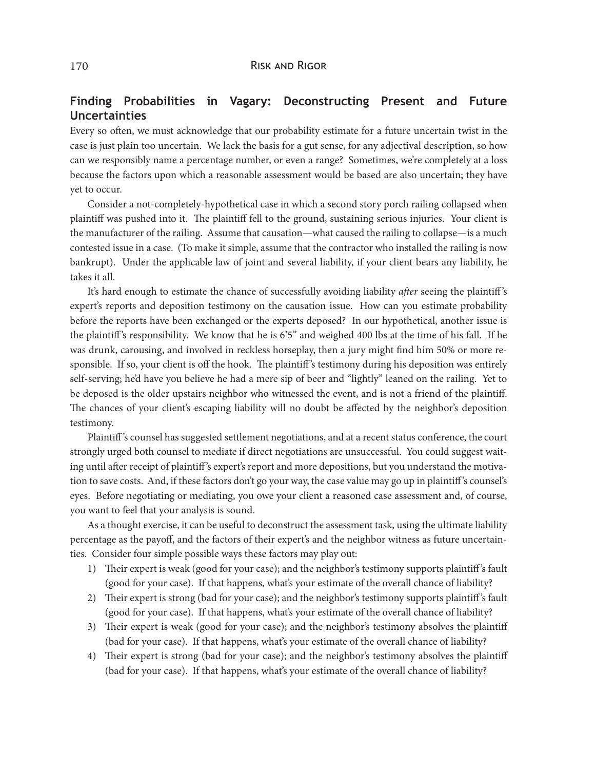## **Finding Probabilities in Vagary: Deconstructing Present and Future Uncertainties**

Every so often, we must acknowledge that our probability estimate for a future uncertain twist in the case is just plain too uncertain. We lack the basis for a gut sense, for any adjectival description, so how can we responsibly name a percentage number, or even a range? Sometimes, we're completely at a loss because the factors upon which a reasonable assessment would be based are also uncertain; they have yet to occur.

Consider a not-completely-hypothetical case in which a second story porch railing collapsed when plaintiff was pushed into it. The plaintiff fell to the ground, sustaining serious injuries. Your client is the manufacturer of the railing. Assume that causation—what caused the railing to collapse—is a much contested issue in a case. (To make it simple, assume that the contractor who installed the railing is now bankrupt). Under the applicable law of joint and several liability, if your client bears any liability, he takes it all.

It's hard enough to estimate the chance of successfully avoiding liability *after* seeing the plaintiff 's expert's reports and deposition testimony on the causation issue. How can you estimate probability before the reports have been exchanged or the experts deposed? In our hypothetical, another issue is the plaintiff's responsibility. We know that he is  $6'5''$  and weighed 400 lbs at the time of his fall. If he was drunk, carousing, and involved in reckless horseplay, then a jury might find him 50% or more responsible. If so, your client is off the hook. The plaintiff's testimony during his deposition was entirely self-serving; he'd have you believe he had a mere sip of beer and "lightly" leaned on the railing. Yet to be deposed is the older upstairs neighbor who witnessed the event, and is not a friend of the plaintiff. The chances of your client's escaping liability will no doubt be affected by the neighbor's deposition testimony.

Plaintiff 's counsel has suggested settlement negotiations, and at a recent status conference, the court strongly urged both counsel to mediate if direct negotiations are unsuccessful. You could suggest waiting until after receipt of plaintiff 's expert's report and more depositions, but you understand the motivation to save costs. And, if these factors don't go your way, the case value may go up in plaintiff 's counsel's eyes. Before negotiating or mediating, you owe your client a reasoned case assessment and, of course, you want to feel that your analysis is sound.

As a thought exercise, it can be useful to deconstruct the assessment task, using the ultimate liability percentage as the payoff, and the factors of their expert's and the neighbor witness as future uncertainties. Consider four simple possible ways these factors may play out:

- 1) Their expert is weak (good for your case); and the neighbor's testimony supports plaintiff 's fault (good for your case). If that happens, what's your estimate of the overall chance of liability?
- 2) Their expert is strong (bad for your case); and the neighbor's testimony supports plaintiff 's fault (good for your case). If that happens, what's your estimate of the overall chance of liability?
- 3) Their expert is weak (good for your case); and the neighbor's testimony absolves the plaintiff (bad for your case). If that happens, what's your estimate of the overall chance of liability?
- 4) Their expert is strong (bad for your case); and the neighbor's testimony absolves the plaintiff (bad for your case). If that happens, what's your estimate of the overall chance of liability?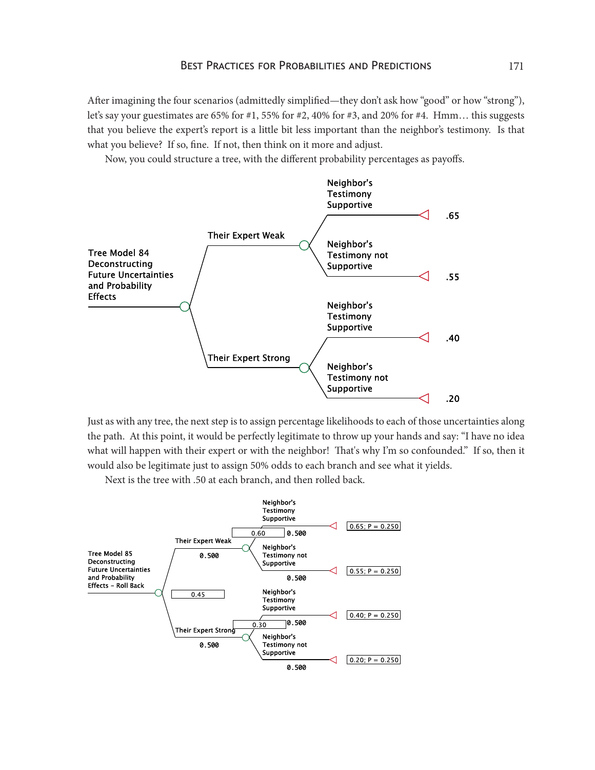After imagining the four scenarios (admittedly simplified—they don't ask how "good" or how "strong"), let's say your guestimates are 65% for #1, 55% for #2, 40% for #3, and 20% for #4. Hmm… this suggests that you believe the expert's report is a little bit less important than the neighbor's testimony. Is that what you believe? If so, fine. If not, then think on it more and adjust.

Now, you could structure a tree, with the different probability percentages as payoffs.



Just as with any tree, the next step is to assign percentage likelihoods to each of those uncertainties along the path. At this point, it would be perfectly legitimate to throw up your hands and say: "I have no idea what will happen with their expert or with the neighbor! That's why I'm so confounded." If so, then it would also be legitimate just to assign 50% odds to each branch and see what it yields.

Next is the tree with .50 at each branch, and then rolled back.

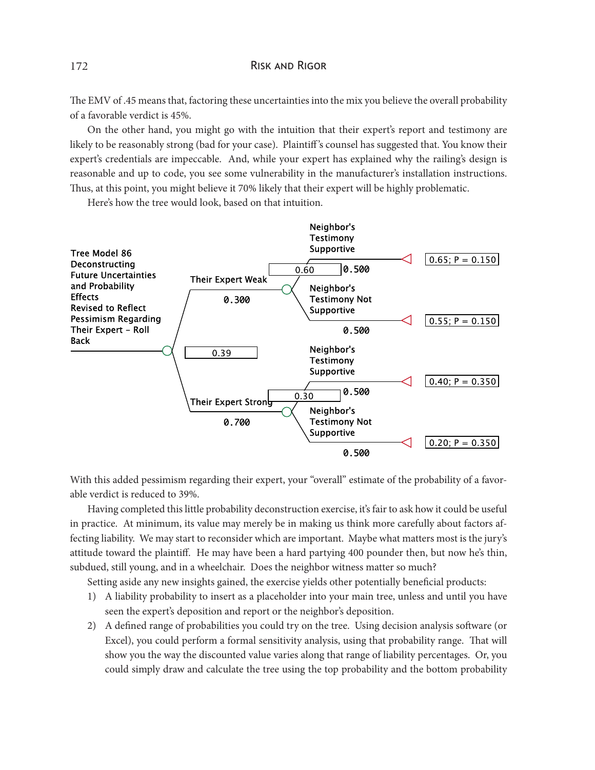#### 172 RISK AND RIGOR

The EMV of .45 means that, factoring these uncertainties into the mix you believe the overall probability of a favorable verdict is 45%.

On the other hand, you might go with the intuition that their expert's report and testimony are likely to be reasonably strong (bad for your case). Plaintiff 's counsel has suggested that. You know their expert's credentials are impeccable. And, while your expert has explained why the railing's design is reasonable and up to code, you see some vulnerability in the manufacturer's installation instructions. Thus, at this point, you might believe it 70% likely that their expert will be highly problematic.

Here's how the tree would look, based on that intuition.



With this added pessimism regarding their expert, your "overall" estimate of the probability of a favorable verdict is reduced to 39%.

Having completed this little probability deconstruction exercise, it's fair to ask how it could be useful in practice. At minimum, its value may merely be in making us think more carefully about factors affecting liability. We may start to reconsider which are important. Maybe what matters most is the jury's attitude toward the plaintiff. He may have been a hard partying 400 pounder then, but now he's thin, subdued, still young, and in a wheelchair. Does the neighbor witness matter so much?

Setting aside any new insights gained, the exercise yields other potentially beneficial products:

- 1) A liability probability to insert as a placeholder into your main tree, unless and until you have seen the expert's deposition and report or the neighbor's deposition.
- 2) A defined range of probabilities you could try on the tree. Using decision analysis software (or Excel), you could perform a formal sensitivity analysis, using that probability range. That will show you the way the discounted value varies along that range of liability percentages. Or, you could simply draw and calculate the tree using the top probability and the bottom probability